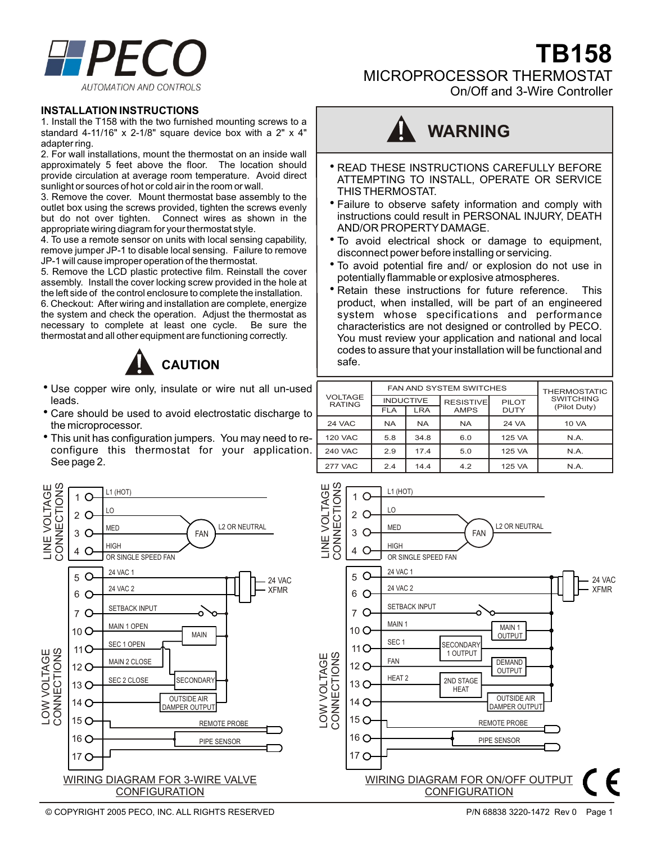

On/Off and 3-Wire Controller



### **INSTALLATION INSTRUCTIONS**

1. Install the T158 with the two furnished mounting screws to a standard 4-11/16" x 2-1/8" square device box with a 2" x 4" adapter ring.

2. For wall installations, mount the thermostat on an inside wall approximately 5 feet above the floor. The location should provide circulation at average room temperature. Avoid direct sunlight or sources of hot or cold air in the room or wall.

3. Remove the cover. Mount thermostat base assembly to the outlet box using the screws provided, tighten the screws evenly but do not over tighten. Connect wires as shown in the appropriate wiring diagram for your thermostat style.

4. To use a remote sensor on units with local sensing capability, remove jumper JP-1 to disable local sensing. Failure to remove JP-1 will cause improper operation of the thermostat.

5. Remove the LCD plastic protective film. Reinstall the cover assembly. Install the cover locking screw provided in the hole at the left side of the control enclosure to complete the installation.

6. Checkout: After wiring and installation are complete, energize the system and check the operation. Adjust the thermostat as necessary to complete at least one cycle. Be sure the thermostat and all other equipment are functioning correctly.



- Use copper wire only, insulate or wire nut all un-used leads.
- Care should be used to avoid electrostatic discharge to the microprocessor.
- This unit has configuration jumpers. You may need to reconfigure this thermostat for your application. See page 2.



- READ THESE INSTRUCTIONS CAREFULLY BEFORE ATTEMPTING TO INSTALL, OPERATE OR SERVICE THIS THERMOSTAT.
- Failure to observe safety information and comply with instructions could result in PERSONAL INJURY, DEATH AND/OR PROPERTY DAMAGE.
- To avoid electrical shock or damage to equipment, disconnect power before installing or servicing.
- To avoid potential fire and/ or explosion do not use in potentially flammable or explosive atmospheres.
- Retain these instructions for future reference. This product, when installed, will be part of an engineered system whose specifications and performance characteristics are not designed or controlled by PECO. You must review your application and national and local codes to assure that your installation will be functional and safe.

| <b>VOLTAGE</b><br><b>RATING</b> |                  | <b>FAN AND SYSTEM SWITCHES</b> | <b>THERMOSTATIC</b> |              |                                  |
|---------------------------------|------------------|--------------------------------|---------------------|--------------|----------------------------------|
|                                 | <b>INDUCTIVE</b> |                                | <b>RESISTIVE</b>    | <b>PILOT</b> | <b>SWITCHING</b><br>(Pilot Duty) |
|                                 | <b>FLA</b>       | <b>LRA</b>                     | <b>AMPS</b>         | <b>DUTY</b>  |                                  |
| 24 VAC                          | <b>NA</b>        | <b>NA</b>                      | <b>NA</b>           | 24 VA        | <b>10 VA</b>                     |
| <b>120 VAC</b>                  | 5.8              | 34.8                           | 6.0                 | 125 VA       | N.A.                             |
| <b>240 VAC</b>                  | 2.9              | 17.4                           | 5.0                 | 125 VA       | N.A.                             |
| <b>277 VAC</b>                  | 2.4              | 14.4                           | 4.2                 | 125 VA       | N.A.                             |